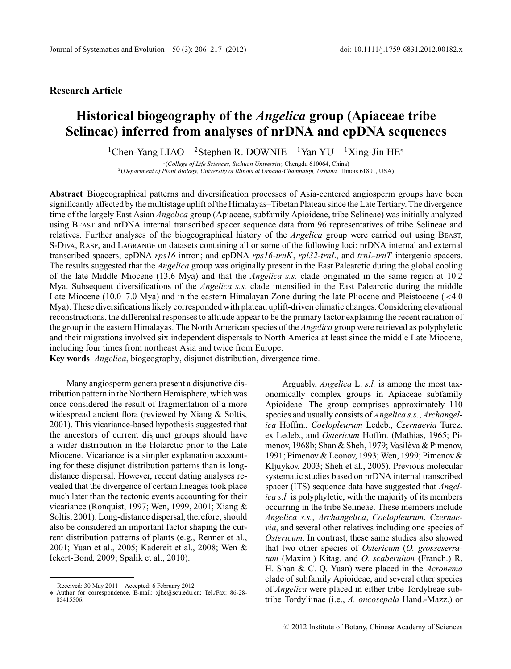## **Research Article**

# **Historical biogeography of the** *Angelica* **group (Apiaceae tribe Selineae) inferred from analyses of nrDNA and cpDNA sequences**

<sup>1</sup>Chen-Yang LIAO <sup>2</sup>Stephen R. DOWNIE <sup>1</sup>Yan YU <sup>1</sup>Xing-Jin HE<sup>\*</sup>

1(*College of Life Sciences, Sichuan University,* Chengdu 610064, China) 2(*Department of Plant Biology, University of Illinois at Urbana-Champaign, Urbana,* Illinois 61801, USA)

**Abstract** Biogeographical patterns and diversification processes of Asia-centered angiosperm groups have been significantly affected by the multistage uplift of the Himalayas–Tibetan Plateau since the Late Tertiary. The divergence time of the largely East Asian *Angelica* group (Apiaceae, subfamily Apioideae, tribe Selineae) was initially analyzed using BEAST and nrDNA internal transcribed spacer sequence data from 96 representatives of tribe Selineae and relatives. Further analyses of the biogeographical history of the *Angelica* group were carried out using BEAST, S-DIVA, RASP, and LAGRANGE on datasets containing all or some of the following loci: nrDNA internal and external transcribed spacers; cpDNA *rps16* intron; and cpDNA *rps16*-*trnK*, *rpl32-trnL*, and *trnL-trnT* intergenic spacers. The results suggested that the *Angelica* group was originally present in the East Palearctic during the global cooling of the late Middle Miocene (13.6 Mya) and that the *Angelica s.s.* clade originated in the same region at 10.2 Mya. Subsequent diversifications of the *Angelica s.s.* clade intensified in the East Palearctic during the middle Late Miocene (10.0–7.0 Mya) and in the eastern Himalayan Zone during the late Pliocene and Pleistocene (<4.0 Mya). These diversifications likely corresponded with plateau uplift-driven climatic changes. Considering elevational reconstructions, the differential responses to altitude appear to be the primary factor explaining the recent radiation of the group in the eastern Himalayas. The North American species of the *Angelica* group were retrieved as polyphyletic and their migrations involved six independent dispersals to North America at least since the middle Late Miocene, including four times from northeast Asia and twice from Europe.

**Key words** *Angelica*, biogeography, disjunct distribution, divergence time.

Many angiosperm genera present a disjunctive distribution pattern in the Northern Hemisphere, which was once considered the result of fragmentation of a more widespread ancient flora (reviewed by Xiang & Soltis, 2001). This vicariance-based hypothesis suggested that the ancestors of current disjunct groups should have a wider distribution in the Holarctic prior to the Late Miocene. Vicariance is a simpler explanation accounting for these disjunct distribution patterns than is longdistance dispersal. However, recent dating analyses revealed that the divergence of certain lineages took place much later than the tectonic events accounting for their vicariance (Ronquist, 1997; Wen, 1999, 2001; Xiang & Soltis, 2001). Long-distance dispersal, therefore, should also be considered an important factor shaping the current distribution patterns of plants (e.g., Renner et al., 2001; Yuan et al., 2005; Kadereit et al., 2008; Wen & Ickert-Bond, 2009; Spalik et al., 2010).

Arguably, *Angelica* L. *s.l.* is among the most taxonomically complex groups in Apiaceae subfamily Apioideae. The group comprises approximately 110 species and usually consists of *Angelica s.s.*, *Archangelica* Hoffm., *Coelopleurum* Ledeb., *Czernaevia* Turcz. ex Ledeb., and *Ostericum* Hoffm. (Mathias, 1965; Pimenov, 1968b; Shan & Sheh, 1979; Vasileva & Pimenov, 1991; Pimenov & Leonov, 1993; Wen, 1999; Pimenov & Kljuykov, 2003; Sheh et al., 2005). Previous molecular systematic studies based on nrDNA internal transcribed spacer (ITS) sequence data have suggested that *Angelica s.l.* is polyphyletic, with the majority of its members occurring in the tribe Selineae. These members include *Angelica s.s.*, *Archangelica*, *Coelopleurum*, *Czernaevia*, and several other relatives including one species of *Ostericum*. In contrast, these same studies also showed that two other species of *Ostericum* (*O. grosseserratum* (Maxim.) Kitag. and *O. scaberulum* (Franch.) R. H. Shan & C. Q. Yuan) were placed in the *Acronema* clade of subfamily Apioideae, and several other species of *Angelica* were placed in either tribe Tordylieae subtribe Tordyliinae (i.e., *A. oncosepala* Hand.-Mazz.) or

Received: 30 May 2011 Accepted: 6 February 2012

<sup>∗</sup> Author for correspondence. E-mail: xjhe@scu.edu.cn; Tel./Fax: 86-28- 85415506.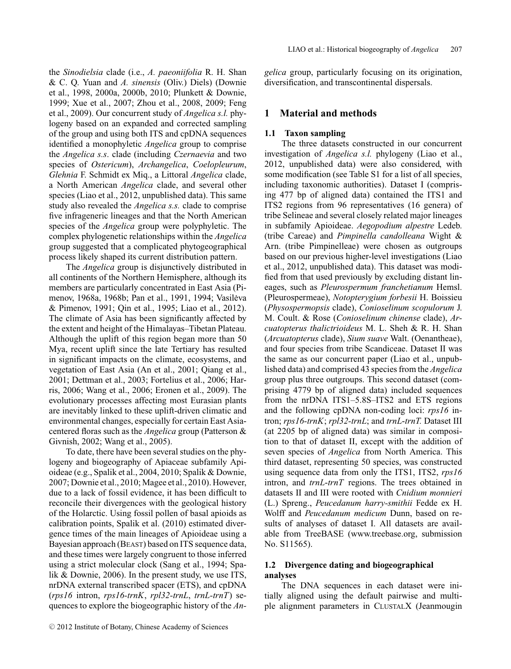the *Sinodielsia* clade (i.e., *A. paeoniifolia* R. H. Shan & C. Q. Yuan and *A. sinensis* (Oliv.) Diels) (Downie et al., 1998, 2000a, 2000b, 2010; Plunkett & Downie, 1999; Xue et al., 2007; Zhou et al., 2008, 2009; Feng et al., 2009). Our concurrent study of *Angelica s.l.* phylogeny based on an expanded and corrected sampling of the group and using both ITS and cpDNA sequences identified a monophyletic *Angelica* group to comprise the *Angelica s.s*. clade (including *Czernaevia* and two species of *Ostericum*), *Archangelica*, *Coelopleurum*, *Glehnia* F. Schmidt ex Miq., a Littoral *Angelica* clade, a North American *Angelica* clade, and several other species (Liao et al., 2012, unpublished data). This same study also revealed the *Angelica s.s.* clade to comprise five infrageneric lineages and that the North American species of the *Angelica* group were polyphyletic. The complex phylogenetic relationships within the *Angelica* group suggested that a complicated phytogeographical process likely shaped its current distribution pattern.

The *Angelica* group is disjunctively distributed in all continents of the Northern Hemisphere, although its members are particularly concentrated in East Asia (Pimenov, 1968a, 1968b; Pan et al., 1991, 1994; Vasilėva & Pimenov, 1991; Qin et al., 1995; Liao et al., 2012). The climate of Asia has been significantly affected by the extent and height of the Himalayas–Tibetan Plateau. Although the uplift of this region began more than 50 Mya, recent uplift since the late Tertiary has resulted in significant impacts on the climate, ecosystems, and vegetation of East Asia (An et al., 2001; Qiang et al., 2001; Dettman et al., 2003; Fortelius et al., 2006; Harris, 2006; Wang et al., 2006; Eronen et al., 2009). The evolutionary processes affecting most Eurasian plants are inevitably linked to these uplift-driven climatic and environmental changes, especially for certain East Asiacentered floras such as the *Angelica* group (Patterson & Givnish, 2002; Wang et al., 2005).

To date, there have been several studies on the phylogeny and biogeography of Apiaceae subfamily Apioideae (e.g., Spalik et al., 2004, 2010; Spalik & Downie, 2007; Downie et al., 2010; Magee et al., 2010). However, due to a lack of fossil evidence, it has been difficult to reconcile their divergences with the geological history of the Holarctic. Using fossil pollen of basal apioids as calibration points, Spalik et al. (2010) estimated divergence times of the main lineages of Apioideae using a Bayesian approach (BEAST) based on ITS sequence data, and these times were largely congruent to those inferred using a strict molecular clock (Sang et al., 1994; Spalik & Downie, 2006). In the present study, we use ITS, nrDNA external transcribed spacer (ETS), and cpDNA (*rps16* intron, *rps16-trnK*, *rpl32-trnL*, *trnL-trnT*) sequences to explore the biogeographic history of the *An-* *gelica* group, particularly focusing on its origination, diversification, and transcontinental dispersals.

#### **1 Material and methods**

#### **1.1 Taxon sampling**

The three datasets constructed in our concurrent investigation of *Angelica s.l.* phylogeny (Liao et al., 2012, unpublished data) were also considered, with some modification (see Table S1 for a list of all species, including taxonomic authorities). Dataset I (comprising 477 bp of aligned data) contained the ITS1 and ITS2 regions from 96 representatives (16 genera) of tribe Selineae and several closely related major lineages in subfamily Apioideae. *Aegopodium alpestre* Ledeb. (tribe Careae) and *Pimpinella candolleana* Wight & Arn. (tribe Pimpinelleae) were chosen as outgroups based on our previous higher-level investigations (Liao et al., 2012, unpublished data). This dataset was modified from that used previously by excluding distant lineages, such as *Pleurospermum franchetianum* Hemsl. (Pleurospermeae), *Notopterygium forbesii* H. Boissieu (*Physospermopsis* clade), *Conioselinum scopulorum* J. M. Coult. & Rose (*Conioselinum chinense* clade), *Arcuatopterus thalictrioideus* M. L. Sheh & R. H. Shan (*Arcuatopterus* clade), *Sium suave* Walt. (Oenantheae), and four species from tribe Scandiceae. Dataset II was the same as our concurrent paper (Liao et al., unpublished data) and comprised 43 species from the *Angelica* group plus three outgroups. This second dataset (comprising 4779 bp of aligned data) included sequences from the nrDNA ITS1–5.8S–ITS2 and ETS regions and the following cpDNA non-coding loci: *rps16* intron; *rps16-trnK*; *rpl32-trnL*; and *trnL*-*trnT.* Dataset III (at 2205 bp of aligned data) was similar in composition to that of dataset II, except with the addition of seven species of *Angelica* from North America. This third dataset, representing 50 species, was constructed using sequence data from only the ITS1, ITS2, *rps16* intron, and *trnL*-*trnT* regions. The trees obtained in datasets II and III were rooted with *Cnidium monnieri* (L.) Spreng., *Peucedanum harry-smithii* Fedde ex H. Wolff and *Peucedanum medicum* Dunn, based on results of analyses of dataset I. All datasets are available from TreeBASE (www.treebase.org, submission No. S11565).

## **1.2 Divergence dating and biogeographical analyses**

The DNA sequences in each dataset were initially aligned using the default pairwise and multiple alignment parameters in CLUSTALX (Jeanmougin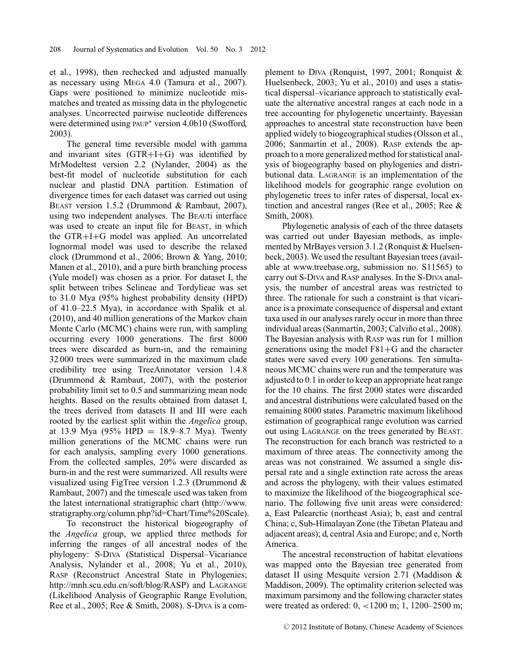et al., 1998), then rechecked and adjusted manually as necessary using MEGA 4.0 (Tamura et al., 2007). Gaps were positioned to minimize nucleotide mismatches and treated as missing data in the phylogenetic analyses. Uncorrected pairwise nucleotide differences were determined using PAUP<sup>∗</sup> version 4.0b10 (Swofford, 2003).

The general time reversible model with gamma and invariant sites (GTR+I+G) was identified by MrModeltest version 2.2 (Nylander, 2004) as the best-fit model of nucleotide substitution for each nuclear and plastid DNA partition. Estimation of divergence times for each dataset was carried out using BEAST version 1.5.2 (Drummond & Rambaut, 2007), using two independent analyses. The BEAUti interface was used to create an input file for BEAST, in which the GTR+I+G model was applied. An uncorrelated lognormal model was used to describe the relaxed clock (Drummond et al., 2006; Brown & Yang, 2010; Manen et al., 2010), and a pure birth branching process (Yule model) was chosen as a prior. For dataset I, the split between tribes Selineae and Tordylieae was set to 31.0 Mya (95% highest probability density (HPD) of 41.0–22.5 Mya), in accordance with Spalik et al. (2010), and 40 million generations of the Markov chain Monte Carlo (MCMC) chains were run, with sampling occurring every 1000 generations. The first 8000 trees were discarded as burn-in, and the remaining 32 000 trees were summarized in the maximum clade credibility tree using TreeAnnotator version 1.4.8 (Drummond & Rambaut, 2007), with the posterior probability limit set to 0.5 and summarizing mean node heights. Based on the results obtained from dataset I, the trees derived from datasets II and III were each rooted by the earliest split within the *Angelica* group, at 13.9 Mya  $(95\% \text{ HPD} = 18.9 - 8.7 \text{ Mya})$ . Twenty million generations of the MCMC chains were run for each analysis, sampling every 1000 generations. From the collected samples, 20% were discarded as burn-in and the rest were summarized. All results were visualized using FigTree version 1.2.3 (Drummond & Rambaut, 2007) and the timescale used was taken from the latest international stratigraphic chart (http://www. stratigraphy.org/column.php?id=Chart/Time%20Scale).

To reconstruct the historical biogeography of the *Angelica* group, we applied three methods for inferring the ranges of all ancestral nodes of the phylogeny: S-DIVA (Statistical Dispersal–Vicariance Analysis, Nylander et al., 2008; Yu et al., 2010), RASP (Reconstruct Ancestral State in Phylogenies; http://mnh.scu.edu.cn/soft/blog/RASP) and LAGRANGE (Likelihood Analysis of Geographic Range Evolution, Ree et al., 2005; Ree & Smith, 2008). S-DIVA is a complement to DIVA (Ronquist, 1997, 2001; Ronquist & Huelsenbeck, 2003; Yu et al., 2010) and uses a statistical dispersal–vicariance approach to statistically evaluate the alternative ancestral ranges at each node in a tree accounting for phylogenetic uncertainty. Bayesian approaches to ancestral state reconstruction have been applied widely to biogeographical studies (Olsson et al., 2006; Sanmartín et al., 2008). RASP extends the approach to a more generalized method for statistical analysis of biogeography based on phylogenies and distributional data. LAGRANGE is an implementation of the likelihood models for geographic range evolution on phylogenetic trees to infer rates of dispersal, local extinction and ancestral ranges (Ree et al., 2005; Ree & Smith, 2008).

Phylogenetic analysis of each of the three datasets was carried out under Bayesian methods, as implemented by MrBayes version 3.1.2 (Ronquist & Huelsenbeck, 2003). We used the resultant Bayesian trees (available at www.treebase.org, submission no. S11565) to carry out S-DIVA and RASP analyses. In the S-DIVA analysis, the number of ancestral areas was restricted to three. The rationale for such a constraint is that vicariance is a proximate consequence of dispersal and extant taxa used in our analyses rarely occur in more than three individual areas (Sanmartín, 2003; Calviño et al., 2008). The Bayesian analysis with RASP was run for 1 million generations using the model F81+G and the character states were saved every 100 generations. Ten simultaneous MCMC chains were run and the temperature was adjusted to 0.1 in order to keep an appropriate heat range for the 10 chains. The first 2000 states were discarded and ancestral distributions were calculated based on the remaining 8000 states. Parametric maximum likelihood estimation of geographical range evolution was carried out using LAGRANGE on the trees generated by BEAST. The reconstruction for each branch was restricted to a maximum of three areas. The connectivity among the areas was not constrained. We assumed a single dispersal rate and a single extinction rate across the areas and across the phylogeny, with their values estimated to maximize the likelihood of the biogeographical scenario. The following five unit areas were considered: a, East Palearctic (northeast Asia); b, east and central China; c, Sub-Himalayan Zone (the Tibetan Plateau and adjacent areas); d, central Asia and Europe; and e, North America.

The ancestral reconstruction of habitat elevations was mapped onto the Bayesian tree generated from dataset II using Mesquite version 2.71 (Maddison & Maddison, 2009). The optimality criterion selected was maximum parsimony and the following character states were treated as ordered: 0, <1200 m; 1, 1200–2500 m;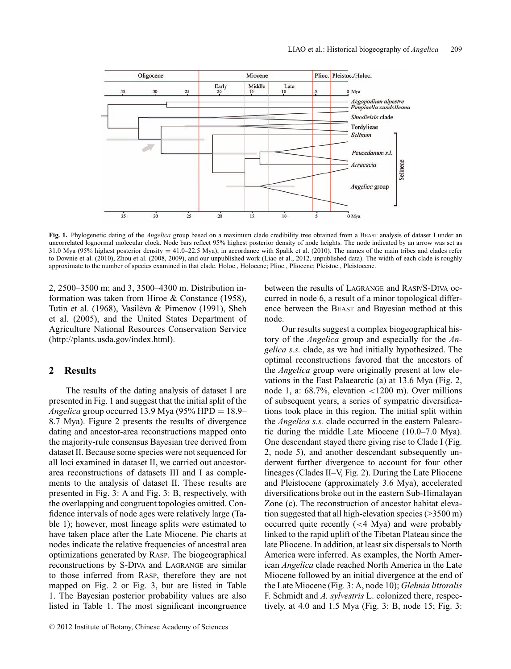

**Fig. 1.** Phylogenetic dating of the *Angelica* group based on a maximum clade credibility tree obtained from a BEAST analysis of dataset I under an uncorrelated lognormal molecular clock. Node bars reflect 95% highest posterior density of node heights. The node indicated by an arrow was set as 31.0 Mya (95% highest posterior density = 41.0–22.5 Mya), in accordance with Spalik et al. (2010). The names of the main tribes and clades refer to Downie et al. (2010), Zhou et al. (2008, 2009), and our unpublished work (Liao et al., 2012, unpublished data). The width of each clade is roughly approximate to the number of species examined in that clade. Holoc., Holocene; Plioc., Pliocene; Pleistoc., Pleistocene.

2, 2500–3500 m; and 3, 3500–4300 m. Distribution information was taken from Hiroe & Constance (1958), Tutin et al. (1968), Vasilėva & Pimenov (1991), Sheh et al. (2005), and the United States Department of Agriculture National Resources Conservation Service (http://plants.usda.gov/index.html).

# **2 Results**

The results of the dating analysis of dataset I are presented in Fig. 1 and suggest that the initial split of the *Angelica* group occurred 13.9 Mya (95% HPD = 18.9– 8.7 Mya). Figure 2 presents the results of divergence dating and ancestor-area reconstructions mapped onto the majority-rule consensus Bayesian tree derived from dataset II. Because some species were not sequenced for all loci examined in dataset II, we carried out ancestorarea reconstructions of datasets III and I as complements to the analysis of dataset II. These results are presented in Fig. 3: A and Fig. 3: B, respectively, with the overlapping and congruent topologies omitted. Confidence intervals of node ages were relatively large (Table 1); however, most lineage splits were estimated to have taken place after the Late Miocene. Pie charts at nodes indicate the relative frequencies of ancestral area optimizations generated by RASP. The biogeographical reconstructions by S-DIVA and LAGRANGE are similar to those inferred from RASP, therefore they are not mapped on Fig. 2 or Fig. 3, but are listed in Table 1. The Bayesian posterior probability values are also listed in Table 1. The most significant incongruence between the results of LAGRANGE and RASP/S-DIVA occurred in node 6, a result of a minor topological difference between the BEAST and Bayesian method at this node.

Our results suggest a complex biogeographical history of the *Angelica* group and especially for the *Angelica s.s.* clade, as we had initially hypothesized. The optimal reconstructions favored that the ancestors of the *Angelica* group were originally present at low elevations in the East Palaearctic (a) at 13.6 Mya (Fig. 2, node 1, a:  $68.7\%$ , elevation <1200 m). Over millions of subsequent years, a series of sympatric diversifications took place in this region. The initial split within the *Angelica s.s.* clade occurred in the eastern Palearctic during the middle Late Miocene (10.0–7.0 Mya). One descendant stayed there giving rise to Clade I (Fig. 2, node 5), and another descendant subsequently underwent further divergence to account for four other lineages (Clades II–V, Fig. 2). During the Late Pliocene and Pleistocene (approximately 3.6 Mya), accelerated diversifications broke out in the eastern Sub-Himalayan Zone (c). The reconstruction of ancestor habitat elevation suggested that all high-elevation species (>3500 m) occurred quite recently  $( $4 \text{ Mya}$ )$  and were probably linked to the rapid uplift of the Tibetan Plateau since the late Pliocene. In addition, at least six dispersals to North America were inferred. As examples, the North American *Angelica* clade reached North America in the Late Miocene followed by an initial divergence at the end of the Late Miocene (Fig. 3: A, node 10); *Glehnia littoralis* F. Schmidt and *A. sylvestris* L. colonized there, respectively, at 4.0 and 1.5 Mya (Fig. 3: B, node 15; Fig. 3: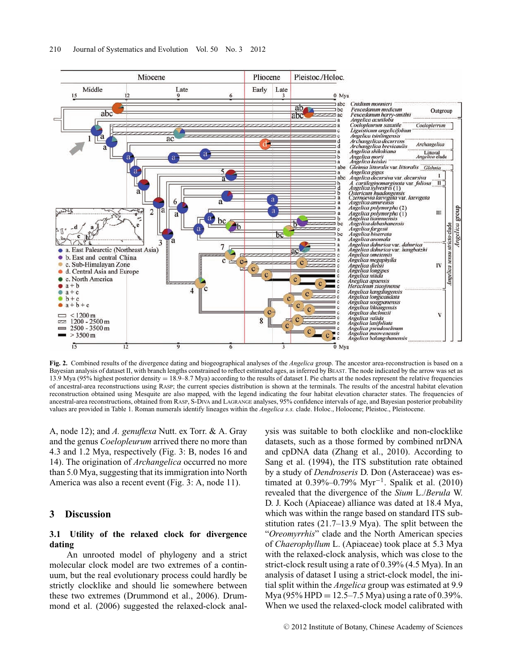

**Fig. 2.** Combined results of the divergence dating and biogeographical analyses of the *Angelica* group. The ancestor area-reconstruction is based on a Bayesian analysis of dataset II, with branch lengths constrained to reflect estimated ages, as inferred by BEAST. The node indicated by the arrow was set as 13.9 Mya (95% highest posterior density = 18.9–8.7 Mya) according to the results of dataset I. Pie charts at the nodes represent the relative frequencies of ancestral-area reconstructions using RASP; the current species distribution is shown at the terminals. The results of the ancestral habitat elevation reconstruction obtained using Mesquite are also mapped, with the legend indicating the four habitat elevation character states. The frequencies of ancestral-area reconstructions, obtained from RASP, S-DIVA and LAGRANGE analyses, 95% confidence intervals of age, and Bayesian posterior probability values are provided in Table 1. Roman numerals identify lineages within the *Angelica s.s.* clade. Holoc., Holocene; Pleistoc., Pleistocene.

A, node 12); and *A. genuflexa* Nutt. ex Torr. & A. Gray and the genus *Coelopleurum* arrived there no more than 4.3 and 1.2 Mya, respectively (Fig. 3: B, nodes 16 and 14). The origination of *Archangelica* occurred no more than 5.0 Mya, suggesting that its immigration into North America was also a recent event (Fig. 3: A, node 11).

## **3 Discussion**

#### **3.1 Utility of the relaxed clock for divergence dating**

An unrooted model of phylogeny and a strict molecular clock model are two extremes of a continuum, but the real evolutionary process could hardly be strictly clocklike and should lie somewhere between these two extremes (Drummond et al., 2006). Drummond et al. (2006) suggested the relaxed-clock analysis was suitable to both clocklike and non-clocklike datasets, such as a those formed by combined nrDNA and cpDNA data (Zhang et al., 2010). According to Sang et al. (1994), the ITS substitution rate obtained by a study of *Dendroseris* D. Don (Asteraceae) was estimated at 0.39%–0.79% Myr<sup>-1</sup>. Spalik et al. (2010) revealed that the divergence of the *Sium* L./*Berula* W. D. J. Koch (Apiaceae) alliance was dated at 18.4 Mya, which was within the range based on standard ITS substitution rates (21.7–13.9 Mya). The split between the "*Oreomyrrhis*" clade and the North American species of *Chaerophyllum* L. (Apiaceae) took place at 5.3 Mya with the relaxed-clock analysis, which was close to the strict-clock result using a rate of 0.39% (4.5 Mya). In an analysis of dataset I using a strict-clock model, the initial split within the *Angelica* group was estimated at 9.9 Mya (95% HPD = 12.5–7.5 Mya) using a rate of 0.39%. When we used the relaxed-clock model calibrated with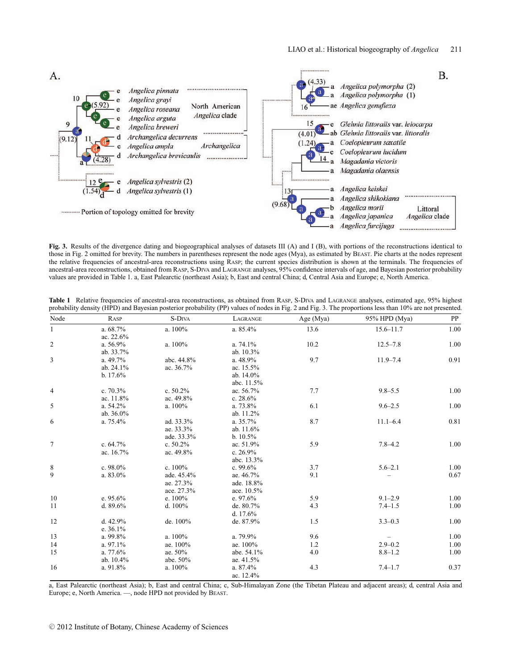

**Fig. 3.** Results of the divergence dating and biogeographical analyses of datasets III (A) and I (B), with portions of the reconstructions identical to those in Fig. 2 omitted for brevity. The numbers in parentheses represent the node ages (Mya), as estimated by BEAST. Pie charts at the nodes represent the relative frequencies of ancestral-area reconstructions using RASP; the current species distribution is shown at the terminals. The frequencies of ancestral-area reconstructions, obtained from RASP, S-DIVA and LAGRANGE analyses, 95% confidence intervals of age, and Bayesian posterior probability values are provided in Table 1. a, East Palearctic (northeast Asia); b, East and central China; d, Central Asia and Europe; e, North America.

Table 1 Relative frequencies of ancestral-area reconstructions, as obtained from RASP, S-DIVA and LAGRANGE analyses, estimated age, 95% highest probability density (HPD) and Bayesian posterior probability (PP) values of nodes in Fig. 2 and Fig. 3. The proportions less than 10% are not presented.

| Node           | RASP         | S-DIVA      | LAGRANGE     | Age (Mya) | 95% HPD (Mya) | ${\rm PP}$ |
|----------------|--------------|-------------|--------------|-----------|---------------|------------|
| $\mathbf{1}$   | a. 68.7%     | a. 100%     | a. 85.4%     | 13.6      | $15.6 - 11.7$ | 1.00       |
|                | ac. 22.6%    |             |              |           |               |            |
| $\overline{c}$ | a. 56.9%     | a. 100%     | a. $74.1\%$  | 10.2      | $12.5 - 7.8$  | 1.00       |
|                | ab. 33.7%    |             | ab. $10.3\%$ |           |               |            |
| 3              | a. 49.7%     | abc. 44.8%  | a. 48.9%     | 9.7       | $11.9 - 7.4$  | 0.91       |
|                | ab. 24.1%    | ac. 36.7%   | ac. $15.5\%$ |           |               |            |
|                | b. 17.6%     |             | ab. 14.0%    |           |               |            |
|                |              |             | abc. 11.5%   |           |               |            |
| 4              | c. $70.3\%$  | c. $50.2\%$ | ac. $56.7\%$ | 7.7       | $9.8 - 5.5$   | 1.00       |
|                | ac. 11.8%    | ac. 49.8%   | c. $28.6\%$  |           |               |            |
| 5              | a. 54.2%     | a. 100%     | a. 73.8%     | 6.1       | $9.6 - 2.5$   | 1.00       |
|                | ab. $36.0\%$ |             | ab. $11.2%$  |           |               |            |
| 6              | a. $75.4\%$  | ad. 33.3%   | a. $35.7\%$  | 8.7       | $11.1 - 6.4$  | 0.81       |
|                |              | ae. 33.3%   | ab. $11.6\%$ |           |               |            |
|                |              | ade. 33.3%  | b. $10.5\%$  |           |               |            |
| $\overline{7}$ | c. $64.7\%$  | c. $50.2\%$ | ac. 51.9%    | 5.9       | $7.8 - 4.2$   | 1.00       |
|                | ac. 16.7%    | ac. 49.8%   | c. $26.9%$   |           |               |            |
|                |              |             | abc. 13.3%   |           |               |            |
| 8              | c. $98.0\%$  | c. $100\%$  | c. $99.6\%$  | 3.7       | $5.6 - 2.1$   | 1.00       |
| $\mathbf{Q}$   | a. 83.0%     | ade. 45.4%  | ae. 46.7%    | 9.1       |               | 0.67       |
|                |              | ae. 27.3%   | ade. 18.8%   |           |               |            |
|                |              | ace. 27.3%  | ace. 10.5%   |           |               |            |
| 10             | e. $95.6\%$  | e. 100%     | e. 97.6%     | 5.9       | $9.1 - 2.9$   | 1.00       |
| 11             | d. $89.6%$   | d. $100%$   | de. $80.7\%$ | 4.3       | $7.4 - 1.5$   | 1.00       |
|                |              |             | d. $17.6%$   |           |               |            |
| 12             | d. 42.9%     | de. 100%    | de. 87.9%    | 1.5       | $3.3 - 0.3$   | 1.00       |
|                | e. 36.1%     |             |              |           |               |            |
| 13             | a. 99.8%     | a. $100\%$  | a. $79.9\%$  | 9.6       |               | 1.00       |
| 14             | a. 97.1%     | ae. 100%    | ae. 100%     | 1.2       | $2.9 - 0.2$   | 1.00       |
| 15             | a. $77.6%$   | ae. $50%$   | abe. 54.1%   | 4.0       | $8.8 - 1.2$   | 1.00       |
|                | ab. $10.4\%$ | abe. $50\%$ | ae. 41.5%    |           |               |            |
| 16             | a. 91.8%     | a. $100\%$  | a. $87.4\%$  | 4.3       | $7.4 - 1.7$   | 0.37       |
|                |              |             | ac. 12.4%    |           |               |            |

a, East Palearctic (northeast Asia); b, East and central China; c, Sub-Himalayan Zone (the Tibetan Plateau and adjacent areas); d, central Asia and Europe; e, North America. —, node HPD not provided by BEAST.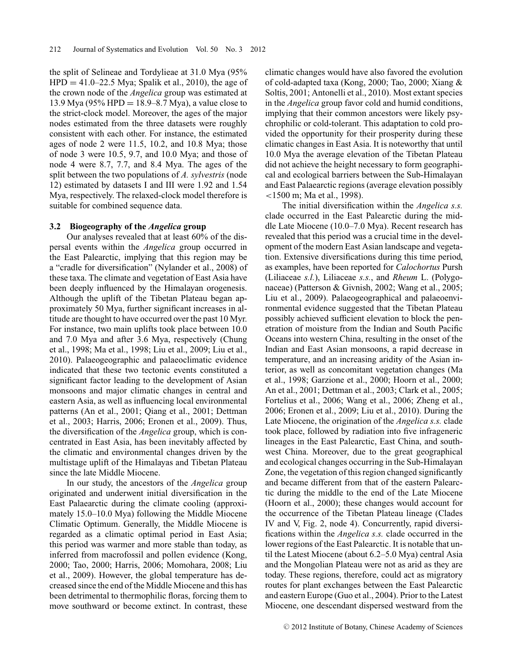the split of Selineae and Tordylieae at 31.0 Mya (95%  $HPD = 41.0 - 22.5$  Mya; Spalik et al., 2010), the age of the crown node of the *Angelica* group was estimated at 13.9 Mya (95% HPD = 18.9–8.7 Mya), a value close to the strict-clock model. Moreover, the ages of the major nodes estimated from the three datasets were roughly consistent with each other. For instance, the estimated ages of node 2 were 11.5, 10.2, and 10.8 Mya; those of node 3 were 10.5, 9.7, and 10.0 Mya; and those of node 4 were 8.7, 7.7, and 8.4 Mya. The ages of the split between the two populations of *A. sylvestris* (node 12) estimated by datasets I and III were 1.92 and 1.54 Mya, respectively. The relaxed-clock model therefore is suitable for combined sequence data.

#### **3.2 Biogeography of the** *Angelica* **group**

Our analyses revealed that at least 60% of the dispersal events within the *Angelica* group occurred in the East Palearctic, implying that this region may be a "cradle for diversification" (Nylander et al., 2008) of these taxa. The climate and vegetation of East Asia have been deeply influenced by the Himalayan orogenesis. Although the uplift of the Tibetan Plateau began approximately 50 Mya, further significant increases in altitude are thought to have occurred over the past 10 Myr. For instance, two main uplifts took place between 10.0 and 7.0 Mya and after 3.6 Mya, respectively (Chung et al., 1998; Ma et al., 1998; Liu et al., 2009; Liu et al., 2010). Palaeogeographic and palaeoclimatic evidence indicated that these two tectonic events constituted a significant factor leading to the development of Asian monsoons and major climatic changes in central and eastern Asia, as well as influencing local environmental patterns (An et al., 2001; Qiang et al., 2001; Dettman et al., 2003; Harris, 2006; Eronen et al., 2009). Thus, the diversification of the *Angelica* group, which is concentrated in East Asia, has been inevitably affected by the climatic and environmental changes driven by the multistage uplift of the Himalayas and Tibetan Plateau since the late Middle Miocene.

In our study, the ancestors of the *Angelica* group originated and underwent initial diversification in the East Palaearctic during the climate cooling (approximately 15.0–10.0 Mya) following the Middle Miocene Climatic Optimum. Generally, the Middle Miocene is regarded as a climatic optimal period in East Asia; this period was warmer and more stable than today, as inferred from macrofossil and pollen evidence (Kong, 2000; Tao, 2000; Harris, 2006; Momohara, 2008; Liu et al., 2009). However, the global temperature has decreased since the end of the Middle Miocene and this has been detrimental to thermophilic floras, forcing them to move southward or become extinct. In contrast, these

climatic changes would have also favored the evolution of cold-adapted taxa (Kong, 2000; Tao, 2000; Xiang & Soltis, 2001; Antonelli et al., 2010). Most extant species in the *Angelica* group favor cold and humid conditions, implying that their common ancestors were likely psychrophilic or cold-tolerant. This adaptation to cold provided the opportunity for their prosperity during these climatic changes in East Asia. It is noteworthy that until 10.0 Mya the average elevation of the Tibetan Plateau did not achieve the height necessary to form geographical and ecological barriers between the Sub-Himalayan and East Palaearctic regions (average elevation possibly <1500 m; Ma et al., 1998).

The initial diversification within the *Angelica s.s.* clade occurred in the East Palearctic during the middle Late Miocene (10.0–7.0 Mya). Recent research has revealed that this period was a crucial time in the development of the modern East Asian landscape and vegetation. Extensive diversifications during this time period, as examples, have been reported for *Calochortus* Pursh (Liliaceae *s.l.*), Liliaceae *s.s.*, and *Rheum* L. (Polygonaceae) (Patterson & Givnish, 2002; Wang et al., 2005; Liu et al., 2009). Palaeogeographical and palaeoenvironmental evidence suggested that the Tibetan Plateau possibly achieved sufficient elevation to block the penetration of moisture from the Indian and South Pacific Oceans into western China, resulting in the onset of the Indian and East Asian monsoons, a rapid decrease in temperature, and an increasing aridity of the Asian interior, as well as concomitant vegetation changes (Ma et al., 1998; Garzione et al., 2000; Hoorn et al., 2000; An et al., 2001; Dettman et al., 2003; Clark et al., 2005; Fortelius et al., 2006; Wang et al., 2006; Zheng et al., 2006; Eronen et al., 2009; Liu et al., 2010). During the Late Miocene, the origination of the *Angelica s.s.* clade took place, followed by radiation into five infrageneric lineages in the East Palearctic, East China, and southwest China. Moreover, due to the great geographical and ecological changes occurring in the Sub-Himalayan Zone, the vegetation of this region changed significantly and became different from that of the eastern Palearctic during the middle to the end of the Late Miocene (Hoorn et al., 2000); these changes would account for the occurrence of the Tibetan Plateau lineage (Clades IV and V, Fig. 2, node 4). Concurrently, rapid diversifications within the *Angelica s.s.* clade occurred in the lower regions of the East Palearctic. It is notable that until the Latest Miocene (about 6.2–5.0 Mya) central Asia and the Mongolian Plateau were not as arid as they are today. These regions, therefore, could act as migratory routes for plant exchanges between the East Palearctic and eastern Europe (Guo et al., 2004). Prior to the Latest Miocene, one descendant dispersed westward from the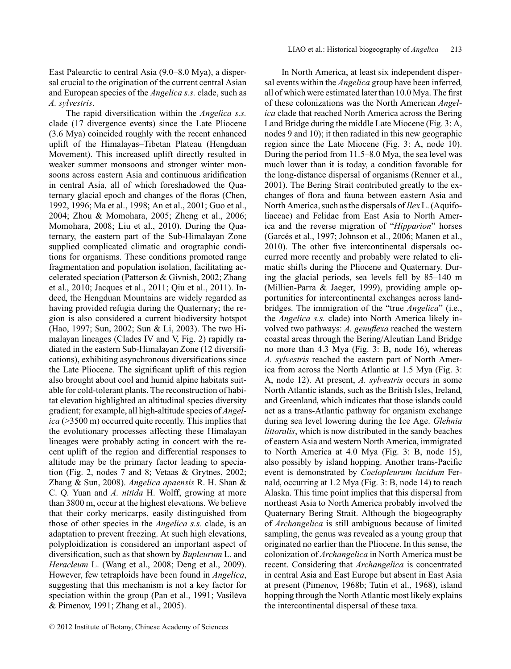East Palearctic to central Asia (9.0–8.0 Mya), a dispersal crucial to the origination of the current central Asian and European species of the *Angelica s.s.* clade, such as *A. sylvestris*.

The rapid diversification within the *Angelica s.s.* clade (17 divergence events) since the Late Pliocene (3.6 Mya) coincided roughly with the recent enhanced uplift of the Himalayas–Tibetan Plateau (Hengduan Movement). This increased uplift directly resulted in weaker summer monsoons and stronger winter monsoons across eastern Asia and continuous aridification in central Asia, all of which foreshadowed the Quaternary glacial epoch and changes of the floras (Chen, 1992, 1996; Ma et al., 1998; An et al., 2001; Guo et al., 2004; Zhou & Momohara, 2005; Zheng et al., 2006; Momohara, 2008; Liu et al., 2010). During the Quaternary, the eastern part of the Sub-Himalayan Zone supplied complicated climatic and orographic conditions for organisms. These conditions promoted range fragmentation and population isolation, facilitating accelerated speciation (Patterson & Givnish, 2002; Zhang et al., 2010; Jacques et al., 2011; Qiu et al., 2011). Indeed, the Hengduan Mountains are widely regarded as having provided refugia during the Quaternary; the region is also considered a current biodiversity hotspot (Hao, 1997; Sun, 2002; Sun & Li, 2003). The two Himalayan lineages (Clades IV and V, Fig. 2) rapidly radiated in the eastern Sub-Himalayan Zone (12 diversifications), exhibiting asynchronous diversifications since the Late Pliocene. The significant uplift of this region also brought about cool and humid alpine habitats suitable for cold-tolerant plants. The reconstruction of habitat elevation highlighted an altitudinal species diversity gradient; for example, all high-altitude species of *Angelica* (>3500 m) occurred quite recently. This implies that the evolutionary processes affecting these Himalayan lineages were probably acting in concert with the recent uplift of the region and differential responses to altitude may be the primary factor leading to speciation (Fig. 2, nodes 7 and 8; Vetaas & Grytnes, 2002; Zhang & Sun, 2008). *Angelica apaensis* R. H. Shan & C. Q. Yuan and *A. nitida* H. Wolff, growing at more than 3800 m, occur at the highest elevations. We believe that their corky mericarps, easily distinguished from those of other species in the *Angelica s.s.* clade, is an adaptation to prevent freezing. At such high elevations, polyploidization is considered an important aspect of diversification, such as that shown by *Bupleurum* L. and *Heracleum* L. (Wang et al., 2008; Deng et al., 2009). However, few tetraploids have been found in *Angelica*, suggesting that this mechanism is not a key factor for speciation within the group (Pan et al., 1991; Vasileva & Pimenov, 1991; Zhang et al., 2005).

In North America, at least six independent dispersal events within the *Angelica* group have been inferred, all of which were estimated later than 10.0 Mya. The first of these colonizations was the North American *Angelica* clade that reached North America across the Bering Land Bridge during the middle Late Miocene (Fig. 3: A, nodes 9 and 10); it then radiated in this new geographic region since the Late Miocene (Fig. 3: A, node 10). During the period from 11.5–8.0 Mya, the sea level was much lower than it is today, a condition favorable for the long-distance dispersal of organisms (Renner et al., 2001). The Bering Strait contributed greatly to the exchanges of flora and fauna between eastern Asia and North America, such as the dispersals of*Ilex* L. (Aquifoliaceae) and Felidae from East Asia to North America and the reverse migration of "*Hipparion*" horses (Garcés et al., 1997; Johnson et al., 2006; Manen et al., 2010). The other five intercontinental dispersals occurred more recently and probably were related to climatic shifts during the Pliocene and Quaternary. During the glacial periods, sea levels fell by 85–140 m (Millien-Parra & Jaeger, 1999), providing ample opportunities for intercontinental exchanges across landbridges. The immigration of the "true *Angelica*" (i.e., the *Angelica s.s.* clade) into North America likely involved two pathways: *A. genuflexa* reached the western coastal areas through the Bering/Aleutian Land Bridge no more than 4.3 Mya (Fig. 3: B, node 16), whereas *A. sylvestris* reached the eastern part of North America from across the North Atlantic at 1.5 Mya (Fig. 3: A, node 12). At present, *A. sylvestris* occurs in some North Atlantic islands, such as the British Isles, Ireland, and Greenland, which indicates that those islands could act as a trans-Atlantic pathway for organism exchange during sea level lowering during the Ice Age. *Glehnia littoralis*, which is now distributed in the sandy beaches of eastern Asia and western North America, immigrated to North America at 4.0 Mya (Fig. 3: B, node 15), also possibly by island hopping. Another trans-Pacific event is demonstrated by *Coelopleurum lucidum* Fernald, occurring at 1.2 Mya (Fig. 3: B, node 14) to reach Alaska. This time point implies that this dispersal from northeast Asia to North America probably involved the Quaternary Bering Strait. Although the biogeography of *Archangelica* is still ambiguous because of limited sampling, the genus was revealed as a young group that originated no earlier than the Pliocene. In this sense, the colonization of *Archangelica* in North America must be recent. Considering that *Archangelica* is concentrated in central Asia and East Europe but absent in East Asia at present (Pimenov, 1968b; Tutin et al., 1968), island hopping through the North Atlantic most likely explains the intercontinental dispersal of these taxa.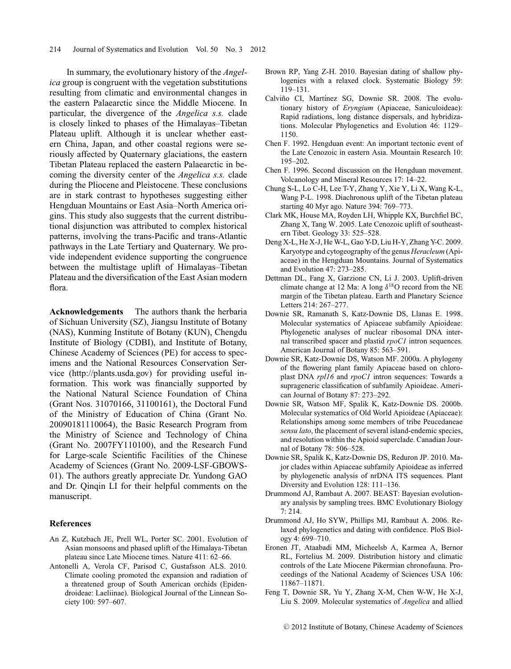In summary, the evolutionary history of the *Angelica* group is congruent with the vegetation substitutions resulting from climatic and environmental changes in the eastern Palaearctic since the Middle Miocene. In particular, the divergence of the *Angelica s.s.* clade is closely linked to phases of the Himalayas–Tibetan Plateau uplift. Although it is unclear whether eastern China, Japan, and other coastal regions were seriously affected by Quaternary glaciations, the eastern Tibetan Plateau replaced the eastern Palaearctic in becoming the diversity center of the *Angelica s.s.* clade during the Pliocene and Pleistocene. These conclusions are in stark contrast to hypotheses suggesting either Hengduan Mountains or East Asia–North America origins. This study also suggests that the current distributional disjunction was attributed to complex historical patterns, involving the trans-Pacific and trans-Atlantic pathways in the Late Tertiary and Quaternary. We provide independent evidence supporting the congruence between the multistage uplift of Himalayas–Tibetan Plateau and the diversification of the East Asian modern flora.

**Acknowledgements** The authors thank the herbaria of Sichuan University (SZ), Jiangsu Institute of Botany (NAS), Kunming Institute of Botany (KUN), Chengdu Institute of Biology (CDBI), and Institute of Botany, Chinese Academy of Sciences (PE) for access to specimens and the National Resources Conservation Service (http://plants.usda.gov) for providing useful information. This work was financially supported by the National Natural Science Foundation of China (Grant Nos. 31070166, 31100161), the Doctoral Fund of the Ministry of Education of China (Grant No. 20090181110064), the Basic Research Program from the Ministry of Science and Technology of China (Grant No. 2007FY110100), and the Research Fund for Large-scale Scientific Facilities of the Chinese Academy of Sciences (Grant No. 2009-LSF-GBOWS-01). The authors greatly appreciate Dr. Yundong GAO and Dr. Qinqin LI for their helpful comments on the manuscript.

#### **References**

- An Z, Kutzbach JE, Prell WL, Porter SC. 2001. Evolution of Asian monsoons and phased uplift of the Himalaya-Tibetan plateau since Late Miocene times. Nature 411: 62–66.
- Antonelli A, Verola CF, Parisod C, Gustafsson ALS. 2010. Climate cooling promoted the expansion and radiation of a threatened group of South American orchids (Epidendroideae: Laeliinae). Biological Journal of the Linnean Society 100: 597–607.
- Brown RP, Yang Z-H. 2010. Bayesian dating of shallow phylogenies with a relaxed clock. Systematic Biology 59: 119–131.
- Calviño CI, Martínez SG, Downie SR. 2008. The evolutionary history of *Eryngium* (Apiaceae, Saniculoideae): Rapid radiations, long distance dispersals, and hybridizations. Molecular Phylogenetics and Evolution 46: 1129– 1150.
- Chen F. 1992. Hengduan event: An important tectonic event of the Late Cenozoic in eastern Asia. Mountain Research 10: 195–202.
- Chen F. 1996. Second discussion on the Hengduan movement. Volcanology and Mineral Resources 17: 14–22.
- Chung S-L, Lo C-H, Lee T-Y, Zhang Y, Xie Y, Li X, Wang K-L, Wang P-L. 1998. Diachronous uplift of the Tibetan plateau starting 40 Myr ago. Nature 394: 769–773.
- Clark MK, House MA, Royden LH, Whipple KX, Burchfiel BC, Zhang X, Tang W. 2005. Late Cenozoic uplift of southeastern Tibet. Geology 33: 525–528.
- Deng X-L, He X-J, He W-L, Gao Y-D, Liu H-Y, Zhang Y-C. 2009. Karyotype and cytogeography of the genus *Heracleum* (Apiaceae) in the Hengduan Mountains. Journal of Systematics and Evolution 47: 273–285.
- Dettman DL, Fang X, Garzione CN, Li J. 2003. Uplift-driven climate change at 12 Ma: A long  $\delta^{18}$ O record from the NE margin of the Tibetan plateau. Earth and Planetary Science Letters 214: 267–277.
- Downie SR, Ramanath S, Katz-Downie DS, Llanas E. 1998. Molecular systematics of Apiaceae subfamily Apioideae: Phylogenetic analyses of nuclear ribosomal DNA internal transcribed spacer and plastid *rpoC1* intron sequences. American Journal of Botany 85: 563–591.
- Downie SR, Katz-Downie DS, Watson MF. 2000a. A phylogeny of the flowering plant family Apiaceae based on chloroplast DNA *rpl16* and *rpoC1* intron sequences: Towards a suprageneric classification of subfamily Apioideae. American Journal of Botany 87: 273–292.
- Downie SR, Watson MF, Spalik K, Katz-Downie DS. 2000b. Molecular systematics of Old World Apioideae (Apiaceae): Relationships among some members of tribe Peucedaneae *sensu lato*, the placement of several island-endemic species, and resolution within the Apioid superclade. Canadian Journal of Botany 78: 506–528.
- Downie SR, Spalik K, Katz-Downie DS, Reduron JP. 2010. Major clades within Apiaceae subfamily Apioideae as inferred by phylogenetic analysis of nrDNA ITS sequences. Plant Diversity and Evolution 128: 111–136.
- Drummond AJ, Rambaut A. 2007. BEAST: Bayesian evolutionary analysis by sampling trees. BMC Evolutionary Biology 7: 214.
- Drummond AJ, Ho SYW, Phillips MJ, Rambaut A. 2006. Relaxed phylogenetics and dating with confidence. PloS Biology 4: 699–710.
- Eronen JT, Ataabadi MM, Micheelsb A, Karmea A, Bernor RL, Fortelius M. 2009. Distribution history and climatic controls of the Late Miocene Pikermian chronofauna. Proceedings of the National Academy of Sciences USA 106: 11867–11871.
- Feng T, Downie SR, Yu Y, Zhang X-M, Chen W-W, He X-J, Liu S. 2009. Molecular systematics of *Angelica* and allied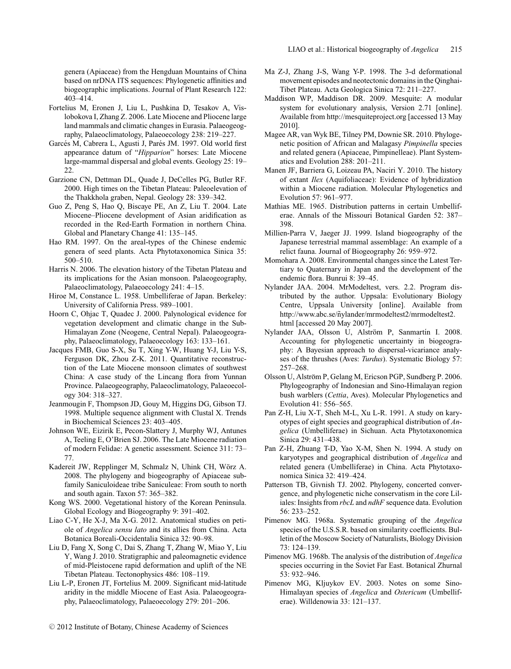genera (Apiaceae) from the Hengduan Mountains of China based on nrDNA ITS sequences: Phylogenetic affinities and biogeographic implications. Journal of Plant Research 122: 403–414.

- Fortelius M, Eronen J, Liu L, Pushkina D, Tesakov A, Vislobokova I, Zhang Z. 2006. Late Miocene and Pliocene large land mammals and climatic changes in Eurasia. Palaeogeography, Palaeoclimatology, Palaeoecology 238: 219–227.
- Garcés M, Cabrera L, Agusti J, Parés JM. 1997. Old world first appearance datum of "*Hipparion*" horses: Late Miocene large-mammal dispersal and global events. Geology 25: 19–  $22.2$
- Garzione CN, Dettman DL, Quade J, DeCelles PG, Butler RF. 2000. High times on the Tibetan Plateau: Paleoelevation of the Thakkhola graben, Nepal. Geology 28: 339–342.
- Guo Z, Peng S, Hao Q, Biscaye PE, An Z, Liu T. 2004. Late Miocene–Pliocene development of Asian aridification as recorded in the Red-Earth Formation in northern China. Global and Planetary Change 41: 135–145.
- Hao RM. 1997. On the areal-types of the Chinese endemic genera of seed plants. Acta Phytotaxonomica Sinica 35: 500–510.
- Harris N. 2006. The elevation history of the Tibetan Plateau and its implications for the Asian monsoon. Palaeogeography, Palaeoclimatology, Palaeoecology 241: 4–15.
- Hiroe M, Constance L. 1958. Umbelliferae of Japan. Berkeley: University of California Press. 989–1001.
- Hoorn C, Ohjac T, Quadec J. 2000. Palynological evidence for vegetation development and climatic change in the Sub-Himalayan Zone (Neogene, Central Nepal). Palaeogeography, Palaeoclimatology, Palaeoecology 163: 133–161.
- Jacques FMB, Guo S-X, Su T, Xing Y-W, Huang Y-J, Liu Y-S, Ferguson DK, Zhou Z-K. 2011. Quantitative reconstruction of the Late Miocene monsoon climates of southwest China: A case study of the Lincang flora from Yunnan Province. Palaeogeography, Palaeoclimatology, Palaeoecology 304: 318–327.
- Jeanmougin F, Thompson JD, Gouy M, Higgins DG, Gibson TJ. 1998. Multiple sequence alignment with Clustal X. Trends in Biochemical Sciences 23: 403–405.
- Johnson WE, Eizirik E, Pecon-Slattery J, Murphy WJ, Antunes A, Teeling E, O'Brien SJ. 2006. The Late Miocene radiation of modern Felidae: A genetic assessment. Science 311: 73– 77.
- Kadereit JW, Repplinger M, Schmalz N, Uhink CH, Worz A. ¨ 2008. The phylogeny and biogeography of Apiaceae subfamily Saniculoideae tribe Saniculeae: From south to north and south again. Taxon 57: 365–382.
- Kong WS. 2000. Vegetational history of the Korean Peninsula. Global Ecology and Biogeography 9: 391–402.
- Liao C-Y, He X-J, Ma X-G. 2012. Anatomical studies on petiole of *Angelica sensu lato* and its allies from China. Acta Botanica Boreali-Occidentalia Sinica 32: 90–98.
- Liu D, Fang X, Song C, Dai S, Zhang T, Zhang W, Miao Y, Liu Y, Wang J. 2010. Stratigraphic and paleomagnetic evidence of mid-Pleistocene rapid deformation and uplift of the NE Tibetan Plateau. Tectonophysics 486: 108–119.
- Liu L-P, Eronen JT, Fortelius M. 2009. Significant mid-latitude aridity in the middle Miocene of East Asia. Palaeogeography, Palaeoclimatology, Palaeoecology 279: 201–206.
- Ma Z-J, Zhang J-S, Wang Y-P. 1998. The 3-d deformational movement episodes and neotectonic domains in the Qinghai-Tibet Plateau. Acta Geologica Sinica 72: 211–227.
- Maddison WP, Maddison DR. 2009. Mesquite: A modular system for evolutionary analysis, Version 2.71 [online]. Available from http://mesquiteproject.org [accessed 13 May 2010].
- Magee AR, van Wyk BE, Tilney PM, Downie SR. 2010. Phylogenetic position of African and Malagasy *Pimpinella* species and related genera (Apiaceae, Pimpinelleae). Plant Systematics and Evolution 288: 201–211.
- Manen JF, Barriera G, Loizeau PA, Naciri Y. 2010. The history of extant *Ilex* (Aquifoliaceae): Evidence of hybridization within a Miocene radiation. Molecular Phylogenetics and Evolution 57: 961–977.
- Mathias ME. 1965. Distribution patterns in certain Umbelliferae. Annals of the Missouri Botanical Garden 52: 387– 398.
- Millien-Parra V, Jaeger JJ. 1999. Island biogeography of the Japanese terrestrial mammal assemblage: An example of a relict fauna. Journal of Biogeography 26: 959–972.
- Momohara A. 2008. Environmental changes since the Latest Tertiary to Quaternary in Japan and the development of the endemic flora. Bunrui 8: 39–45.
- Nylander JAA. 2004. MrModeltest, vers. 2.2. Program distributed by the author. Uppsala: Evolutionary Biology Centre, Uppsala University [online]. Available from http://www.abc.se/ñylander/mrmodeltest2/mrmodeltest2. html [accessed 20 May 2007].
- Nylander JAA, Olsson U, Alström P, Sanmartín I. 2008. Accounting for phylogenetic uncertainty in biogeography: A Bayesian approach to dispersal-vicariance analyses of the thrushes (Aves: *Turdus*). Systematic Biology 57: 257–268.
- Olsson U, Alström P, Gelang M, Ericson PGP, Sundberg P. 2006. Phylogeography of Indonesian and Sino-Himalayan region bush warblers (*Cettia*, Aves). Molecular Phylogenetics and Evolution 41: 556–565.
- Pan Z-H, Liu X-T, Sheh M-L, Xu L-R. 1991. A study on karyotypes of eight species and geographical distribution of *Angelica* (Umbelliferae) in Sichuan. Acta Phytotaxonomica Sinica 29: 431–438.
- Pan Z-H, Zhuang T-D, Yao X-M, Shen N. 1994. A study on karyotypes and geographical distribution of *Angelica* and related genera (Umbelliferae) in China. Acta Phytotaxonomica Sinica 32: 419–424.
- Patterson TB, Givnish TJ. 2002. Phylogeny, concerted convergence, and phylogenetic niche conservatism in the core Liliales: Insights from *rbcL* and *ndhF* sequence data. Evolution 56: 233–252.
- Pimenov MG. 1968a. Systematic grouping of the *Angelica* species of the U.S.S.R. based on similarity coefficients. Bulletin of the Moscow Society of Naturalists, Biology Division 73: 124–139.
- Pimenov MG. 1968b. The analysis of the distribution of *Angelica* species occurring in the Soviet Far East. Botanical Zhurnal 53: 932–946.
- Pimenov MG, Kljuykov EV. 2003. Notes on some Sino-Himalayan species of *Angelica* and *Ostericum* (Umbelliferae). Willdenowia 33: 121–137.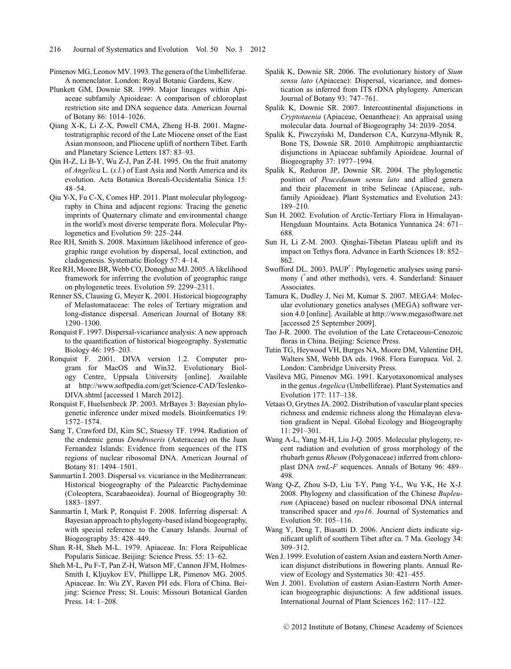Pimenov MG, Leonov MV. 1993. The genera of the Umbelliferae. A nomenclator. London: Royal Botanic Gardens, Kew.

- Plunkett GM, Downie SR. 1999. Major lineages within Apiaceae subfamily Apioideae: A comparison of chloroplast restriction site and DNA sequence data. American Journal of Botany 86: 1014–1026.
- Qiang X-K, Li Z-X, Powell CMA, Zheng H-B. 2001. Magnetostratigraphic record of the Late Miocene onset of the East Asian monsoon, and Pliocene uplift of northern Tibet. Earth and Planetary Science Letters 187: 83–93.
- Qin H-Z, Li B-Y, Wu Z-J, Pan Z-H. 1995. On the fruit anatomy of *Angelica* L. (*s.l.*) of East Asia and North America and its evolution. Acta Botanica Boreali-Occidentalia Sinica 15: 48–54.
- Qiu Y-X, Fu C-X, Comes HP. 2011. Plant molecular phylogeography in China and adjacent regions: Tracing the genetic imprints of Quaternary climate and environmental change in the world's most diverse temperate flora. Molecular Phylogenetics and Evolution 59: 225–244.
- Ree RH, Smith S. 2008. Maximum likelihood inference of geographic range evolution by dispersal, local extinction, and cladogenesis. Systematic Biology 57: 4–14.
- Ree RH, Moore BR, Webb CO, Donoghue MJ. 2005. A likelihood framework for inferring the evolution of geographic range on phylogenetic trees. Evolution 59: 2299–2311.
- Renner SS, Clausing G, Meyer K. 2001. Historical biogeography of Melastomataceae: The roles of Tertiary migration and long-distance dispersal. American Journal of Botany 88: 1290–1300.
- Ronquist F. 1997. Dispersal-vicariance analysis: A new approach to the quantification of historical biogeography. Systematic Biology 46: 195–203.
- Ronquist F. 2001. DIVA version 1.2. Computer program for MacOS and Win32. Evolutionary Biology Centre, Uppsala University [online]. Available at http://www.softpedia.com/get/Science-CAD/Teslenko-DIVA.shtml [accessed 1 March 2012].
- Ronquist F, Huelsenbeck JP. 2003. MrBayes 3: Bayesian phylogenetic inference under mixed models. Bioinformatics 19: 1572–1574.
- Sang T, Crawford DJ, Kim SC, Stuessy TF. 1994. Radiation of the endemic genus *Dendroseris* (Asteraceae) on the Juan Fernandez Islands: Evidence from sequences of the ITS regions of nuclear ribosomal DNA. American Journal of Botany 81: 1494–1501.
- Sanmartín I. 2003. Dispersal vs. vicariance in the Mediterranean: Historical biogeography of the Palearctic Pachydeminae (Coleoptera, Scarabaeoidea). Journal of Biogeography 30: 1883–1897.
- Sanmartín I, Mark P, Ronquist F. 2008. Inferring dispersal: A Bayesian approach to phylogeny-based island biogeography, with special reference to the Canary Islands. Journal of Biogeography 35: 428–449.
- Shan R-H, Sheh M-L. 1979. Apiaceae. In: Flora Reipublicae Popularis Sinicae. Beijing: Science Press. 55: 13–62.
- Sheh M-L, Pu F-T, Pan Z-H, Watson MF, Cannon JFM, Holmes-Smith I, Kljuykov EV, Phillippe LR, Pimenov MG. 2005. Apiaceae. In: Wu ZY, Raven PH eds. Flora of China. Beijing: Science Press; St. Louis: Missouri Botanical Garden Press. 14: 1–208.
- Spalik K, Downie SR. 2006. The evolutionary history of *Sium sensu lato* (Apiaceae): Dispersal, vicariance, and domestication as inferred from ITS rDNA phylogeny. American Journal of Botany 93: 747–761.
- Spalik K, Downie SR. 2007. Intercontinental disjunctions in *Cryptotaenia* (Apiaceae, Oenantheae): An appraisal using molecular data. Journal of Biogeography 34: 2039–2054.
- Spalik K, Piwczyński M, Danderson CA, Kurzyna-Młynik R, Bone TS, Downie SR. 2010. Amphitropic amphiantarctic disjunctions in Apiaceae subfamily Apioideae. Journal of Biogeography 37: 1977–1994.
- Spalik K, Reduron JP, Downie SR. 2004. The phylogenetic position of *Peucedanum sensu lato* and allied genera and their placement in tribe Selineae (Apiaceae, subfamily Apioideae). Plant Systematics and Evolution 243: 189–210.
- Sun H. 2002. Evolution of Arctic-Tertiary Flora in Himalayan-Hengduan Mountains. Acta Botanica Yunnanica 24: 671– 688.
- Sun H, Li Z-M. 2003. Qinghai-Tibetan Plateau uplift and its impact on Tethys flora. Advance in Earth Sciences 18: 852– 862.
- Swofford DL. 2003. PAUP<sup>∗</sup> : Phylogenetic analyses using parsimony (<sup>∗</sup> and other methods), vers. 4. Sunderland: Sinauer Associates.
- Tamura K, Dudley J, Nei M, Kumar S. 2007. MEGA4: Molecular evolutionary genetics analyses (MEGA) software version 4.0 [online]. Available at http://www.megasoftware.net [accessed 25 September 2009].
- Tao J-R. 2000. The evolution of the Late Cretaceous-Cenozoic floras in China. Beijing: Science Press.
- Tutin TG, Heywood VH, Burges NA, Moore DM, Valentine DH, Walters SM, Webb DA eds. 1968. Flora Europaea. Vol. 2. London: Cambridge University Press.
- Vasilėva MG, Pimenov MG. 1991. Karyotaxonomical analyses in the genus *Angelica* (Umbelliferae). Plant Systematics and Evolution 177: 117–138.
- Vetaas O, Grytnes JA. 2002. Distribution of vascular plant species richness and endemic richness along the Himalayan elevation gradient in Nepal. Global Ecology and Biogeography 11: 291–301.
- Wang A-L, Yang M-H, Liu J-Q. 2005. Molecular phylogeny, recent radiation and evolution of gross morphology of the rhubarb genus *Rheum* (Polygonaceae) inferred from chloroplast DNA *trnL*-*F* sequences. Annals of Botany 96: 489– 498.
- Wang Q-Z, Zhou S-D, Liu T-Y, Pang Y-L, Wu Y-K, He X-J. 2008. Phylogeny and classification of the Chinese *Bupleurum* (Apiaceae) based on nuclear ribosomal DNA internal transcribed spacer and *rps16*. Journal of Systematics and Evolution 50: 105–116.
- Wang Y, Deng T, Biasatti D. 2006. Ancient diets indicate significant uplift of southern Tibet after ca. 7 Ma. Geology 34: 309–312.
- Wen J. 1999. Evolution of eastern Asian and eastern North American disjunct distributions in flowering plants. Annual Review of Ecology and Systematics 30: 421–455.
- Wen J. 2001. Evolution of eastern Asian-Eastern North American biogeographic disjunctions: A few additional issues. International Journal of Plant Sciences 162: 117–122.